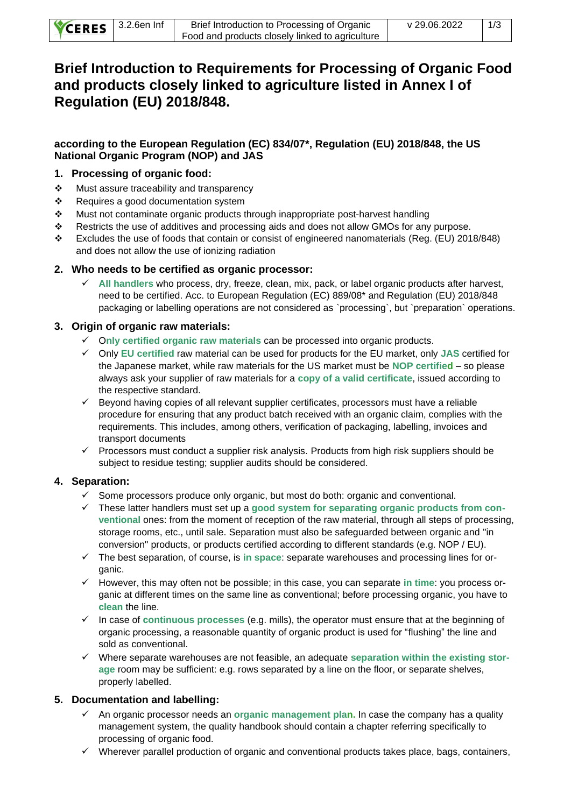| CERES 3.2.6en Inf | Brief Introduction to Processing of Organic     | v 29.06.2022 | 1/3 |
|-------------------|-------------------------------------------------|--------------|-----|
|                   | Food and products closely linked to agriculture |              |     |

# **Brief Introduction to Requirements for Processing of Organic Food and products closely linked to agriculture listed in Annex I of Regulation (EU) 2018/848.**

# **according to the European Regulation (EC) 834/07\*, Regulation (EU) 2018/848, the US National Organic Program (NOP) and JAS**

### **1. Processing of organic food:**

- ❖ Must assure traceability and transparency
- ❖ Requires a good documentation system
- ❖ Must not contaminate organic products through inappropriate post-harvest handling
- ❖ Restricts the use of additives and processing aids and does not allow GMOs for any purpose.
- ❖ Excludes the use of foods that contain or consist of engineered nanomaterials (Reg. (EU) 2018/848) and does not allow the use of ionizing radiation

### **2. Who needs to be certified as organic processor:**

✓ **All handlers** who process, dry, freeze, clean, mix, pack, or label organic products after harvest, need to be certified. Acc. to European Regulation (EC) 889/08\* and Regulation (EU) 2018/848 packaging or labelling operations are not considered as `processing`, but `preparation` operations.

### **3. Origin of organic raw materials:**

- ✓ O**nly certified organic raw materials** can be processed into organic products.
- ✓ Only **EU certified** raw material can be used for products for the EU market, only **JAS** certified for the Japanese market, while raw materials for the US market must be **NOP certified** – so please always ask your supplier of raw materials for a **copy of a valid certificate**, issued according to the respective standard.
- ✓ Beyond having copies of all relevant supplier certificates, processors must have a reliable procedure for ensuring that any product batch received with an organic claim, complies with the requirements. This includes, among others, verification of packaging, labelling, invoices and transport documents
- $\checkmark$  Processors must conduct a supplier risk analysis. Products from high risk suppliers should be subject to residue testing; supplier audits should be considered.

# **4. Separation:**

- ✓ Some processors produce only organic, but most do both: organic and conventional.
- ✓ These latter handlers must set up a **good system for separating organic products from conventional** ones: from the moment of reception of the raw material, through all steps of processing, storage rooms, etc., until sale. Separation must also be safeguarded between organic and "in conversion" products, or products certified according to different standards (e.g. NOP / EU).
- ✓ The best separation, of course, is **in space**: separate warehouses and processing lines for organic.
- ✓ However, this may often not be possible; in this case, you can separate **in time**: you process organic at different times on the same line as conventional; before processing organic, you have to **clean** the line.
- ✓ In case of **continuous processes** (e.g. mills), the operator must ensure that at the beginning of organic processing, a reasonable quantity of organic product is used for "flushing" the line and sold as conventional.
- ✓ Where separate warehouses are not feasible, an adequate **separation within the existing storage** room may be sufficient: e.g. rows separated by a line on the floor, or separate shelves, properly labelled.

# **5. Documentation and labelling:**

- ✓ An organic processor needs an **organic management plan.** In case the company has a quality management system, the quality handbook should contain a chapter referring specifically to processing of organic food.
- $\checkmark$  Wherever parallel production of organic and conventional products takes place, bags, containers,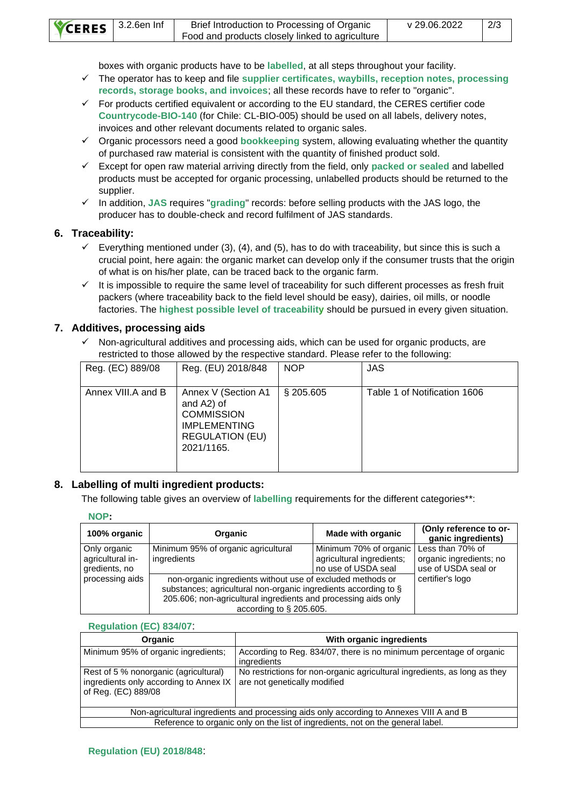| CERES 3.2.6en Inf | Brief Introduction to Processing of Organic     | v 29.06.2022 | 2/3 |
|-------------------|-------------------------------------------------|--------------|-----|
|                   | Food and products closely linked to agriculture |              |     |

boxes with organic products have to be **labelled**, at all steps throughout your facility.

- ✓ The operator has to keep and file **supplier certificates, waybills, reception notes, processing records, storage books, and invoices**; all these records have to refer to "organic".
- $\checkmark$  For products certified equivalent or according to the EU standard, the CERES certifier code **Countrycode-BIO-140** (for Chile: CL-BIO-005) should be used on all labels, delivery notes, invoices and other relevant documents related to organic sales.
- ✓ Organic processors need a good **bookkeeping** system, allowing evaluating whether the quantity of purchased raw material is consistent with the quantity of finished product sold.
- ✓ Except for open raw material arriving directly from the field, only **packed or sealed** and labelled products must be accepted for organic processing, unlabelled products should be returned to the supplier.
- ✓ In addition, **JAS** requires "**grading**" records: before selling products with the JAS logo, the producer has to double-check and record fulfilment of JAS standards.

### **6. Traceability:**

- $\checkmark$  Everything mentioned under (3), (4), and (5), has to do with traceability, but since this is such a crucial point, here again: the organic market can develop only if the consumer trusts that the origin of what is on his/her plate, can be traced back to the organic farm.
- $\checkmark$  It is impossible to require the same level of traceability for such different processes as fresh fruit packers (where traceability back to the field level should be easy), dairies, oil mills, or noodle factories. The **highest possible level of traceability** should be pursued in every given situation.

### **7. Additives, processing aids**

 $\checkmark$  Non-agricultural additives and processing aids, which can be used for organic products, are restricted to those allowed by the respective standard. Please refer to the following:

| Reg. (EC) 889/08   | Reg. (EU) 2018/848                                                                                                    | <b>NOP</b>   | <b>JAS</b>                   |
|--------------------|-----------------------------------------------------------------------------------------------------------------------|--------------|------------------------------|
| Annex VIII.A and B | Annex V (Section A1<br>and A2) of<br><b>COMMISSION</b><br><b>IMPLEMENTING</b><br><b>REGULATION (EU)</b><br>2021/1165. | $\S$ 205.605 | Table 1 of Notification 1606 |

# **8. Labelling of multi ingredient products:**

The following table gives an overview of **labelling** requirements for the different categories\*\*:

#### **NOP:**

| 100% organic                                      | Organic                                                                                                                                                                                                                       | <b>Made with organic</b>                                                   | (Only reference to or-<br>ganic ingredients)                       |
|---------------------------------------------------|-------------------------------------------------------------------------------------------------------------------------------------------------------------------------------------------------------------------------------|----------------------------------------------------------------------------|--------------------------------------------------------------------|
| Only organic<br>agricultural in-<br>gredients, no | Minimum 95% of organic agricultural<br>ingredients                                                                                                                                                                            | Minimum 70% of organic<br>agricultural ingredients;<br>no use of USDA seal | Less than 70% of<br>organic ingredients; no<br>use of USDA seal or |
| processing aids                                   | non-organic ingredients without use of excluded methods or<br>substances; agricultural non-organic ingredients according to §<br>205.606; non-agricultural ingredients and processing aids only<br>according to $\S$ 205.605. |                                                                            | certifier's logo                                                   |

#### **Regulation (EC) 834/07**:

| <b>Organic</b>                                                                                         | With organic ingredients                                                                                  |  |
|--------------------------------------------------------------------------------------------------------|-----------------------------------------------------------------------------------------------------------|--|
| Minimum 95% of organic ingredients;                                                                    | According to Reg. 834/07, there is no minimum percentage of organic<br>ingredients                        |  |
| Rest of 5 % nonorganic (agricultural)<br>ingredients only according to Annex IX<br>of Reg. (EC) 889/08 | No restrictions for non-organic agricultural ingredients, as long as they<br>are not genetically modified |  |
| Non-agricultural ingredients and processing aids only according to Annexes VIII A and B                |                                                                                                           |  |
| Reference to organic only on the list of ingredients, not on the general label.                        |                                                                                                           |  |